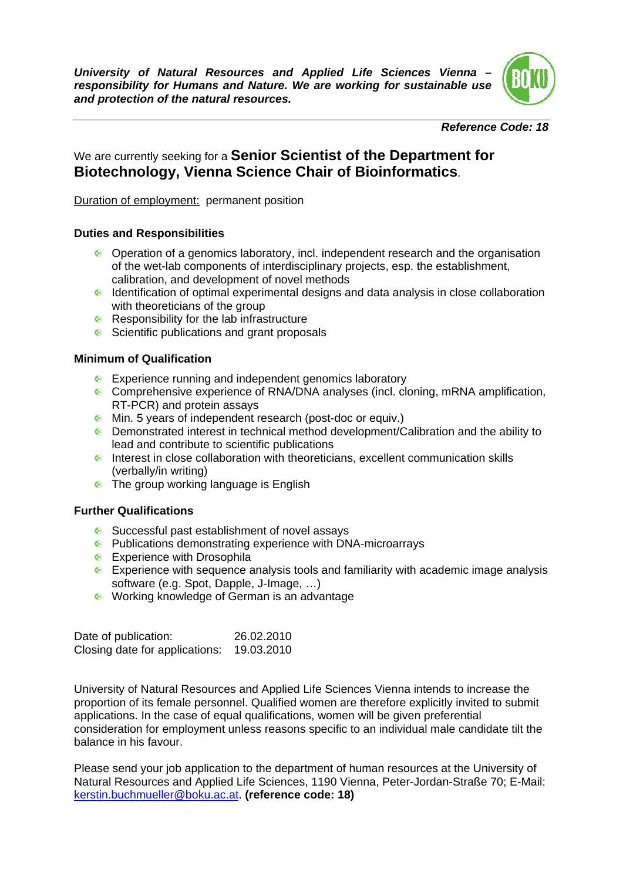*University of Natural Resources and Applied Life Sciences Vienna – responsibility for Humans and Nature. We are working for sustainable use and protection of the natural resources.* 



#### *Reference Code: 18*

# We are currently seeking for a **Senior Scientist of the Department for Biotechnology, Vienna Science Chair of Bioinformatics**.

Duration of employment: permanent position

### **Duties and Responsibilities**

- Operation of a genomics laboratory, incl. independent research and the organisation of the wet-lab components of interdisciplinary projects, esp. the establishment, calibration, and development of novel methods
- Identification of optimal experimental designs and data analysis in close collaboration with theoreticians of the group
- Responsibility for the lab infrastructure
- Scientific publications and grant proposals

### **Minimum of Qualification**

- **Experience running and independent genomics laboratory**
- Comprehensive experience of RNA/DNA analyses (incl. cloning, mRNA amplification, RT-PCR) and protein assays
- Min. 5 years of independent research (post-doc or equiv.)
- Demonstrated interest in technical method development/Calibration and the ability to lead and contribute to scientific publications
- Interest in close collaboration with theoreticians, excellent communication skills (verbally/in writing)
- **•** The group working language is English

#### **Further Qualifications**

- **Successful past establishment of novel assays**
- **•** Publications demonstrating experience with DNA-microarrays
- **Experience with Drosophila**
- Experience with sequence analysis tools and familiarity with academic image analysis software (e.g. Spot, Dapple, J-Image, …)
- **Working knowledge of German is an advantage**

| Date of publication:           | 26.02.2010 |
|--------------------------------|------------|
| Closing date for applications: | 19.03.2010 |

University of Natural Resources and Applied Life Sciences Vienna intends to increase the proportion of its female personnel. Qualified women are therefore explicitly invited to submit applications. In the case of equal qualifications, women will be given preferential consideration for employment unless reasons specific to an individual male candidate tilt the balance in his favour.

Please send your job application to the department of human resources at the University of Natural Resources and Applied Life Sciences, 1190 Vienna, Peter-Jordan-Straße 70; E-Mail: kerstin.buchmueller@boku.ac.at. **(reference code: 18)**